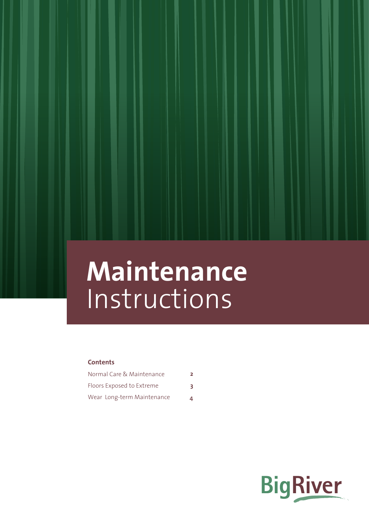# **Maintenance Instructions**

## **Contents**

| Normal Care & Maintenance  |    |
|----------------------------|----|
| Floors Exposed to Extreme  | 3. |
| Wear Long-term Maintenance |    |

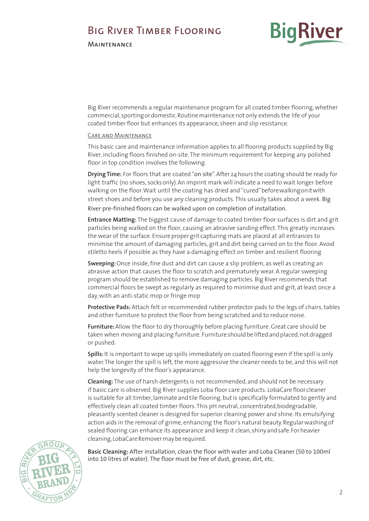# <span id="page-1-0"></span>Big River Timber Flooring

**MAINTENANCE** 



Big River recommends a regular maintenance program for all coated timber flooring, whether commercial, sporting or domestic. Routine maintenance not only extends the life of your coated timber floor but enhances its appearance, sheen and slip resistance.

### Care and Maintenance

This basic care and maintenance information applies to all flooring products supplied by Big River, including floors finished on-site. The minimum requirement for keeping any polished floor in top condition involves the following.

**Drying Time:** For floors that are coated "on site". After 24 hours the coating should be ready for light traffic (no shoes, socks only). An imprint mark will indicate a need to wait longer before walking on the floor. Wait until the coating has dried and "cured" before walking on it with street shoes and before you use any cleaning products. This usually takes about a week. Big River pre-finished floors can be walked upon on completion of installation.

**Entrance Matting:** The biggest cause of damage to coated timber floor surfaces is dirt and grit particles being walked on the floor, causing an abrasive sanding effect. This greatly increases the wear of the surface. Ensure proper grit capturing mats are placed at all entrances to minimise the amount of damaging particles, grit and dirt being carried on to the floor. Avoid stiletto heels if possible as they have a damaging effect on timber and resilient flooring.

**Sweeping:** Once inside, fine dust and dirt can cause a slip problem, as well as creating an abrasive action that causes the floor to scratch and prematurely wear. A regular sweeping program should be established to remove damaging particles. Big River recommends that commercial floors be swept as regularly as required to minimise dust and grit, at least once a day, with an anti-static mop or fringe mop

**Protective Pads:** Attach felt or recommended rubber protector pads to the legs of chairs, tables and other furniture to protect the floor from being scratched and to reduce noise.

**Furniture:** Allow the floor to dry thoroughly before placing furniture. Great care should be taken when moving and placing furniture. Furniture should be lifted and placed, not dragged or pushed.

**Spills:** It is important to wipe up spills immediately on coated flooring even if the spill is only water. The longer the spill is left, the more aggressive the cleaner needs to be, and this will not help the longevity of the floor's appearance.

**Cleaning:** The use of harsh detergents is not recommended, and should not be necessary if basic care is observed. Big River supplies Loba floor care products. LobaCare floor cleaner is suitable for all timber, laminate and tile flooring, but is specifically formulated to gently and effectively clean all coated timber floors. This pH neutral, concentrated, biodegradable, pleasantly scented cleaner is designed for superior cleaning power and shine. Its emulsifying action aids in the removal of grime, enhancing the floor's natural beauty. Regular washing of sealed flooring can enhance its appearance and keep it clean, shiny and safe. For heavier cleaning, LobaCare Remover may be required.



**Basic Cleaning:** After installation, clean the floor with water and Loba Cleaner (50 to 100ml into 10 litres of water). The floor must be free of dust, grease, dirt, etc.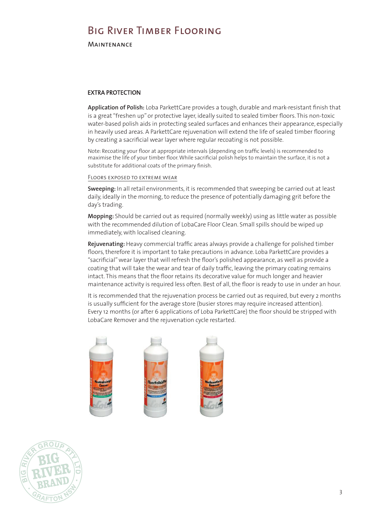# Big River Timber Flooring

<span id="page-2-0"></span>**MAINTENANCE** 

## EXTRA PROTECTION

Application of Polish: Loba ParkettCare provides a tough, durable and mark-resistant finish that is a great "freshen up" or protective layer, ideally suited to sealed timber floors. This non-toxic water-based polish aids in protecting sealed surfaces and enhances their appearance, especially in heavily used areas. A ParkettCare rejuvenation will extend the life of sealed timber flooring by creating a sacrificial wear layer where regular recoating is not possible.

Note: Recoating your floor at appropriate intervals (depending on traffic levels) is recommended to maximise the life of your timber floor. While sacrificial polish helps to maintain the surface, it is not a substitute for additional coats of the primary finish. where a system developed and produced by Treffert and produced by Treffert are tested by Treffert are tested by Treffert are tested by Treffert are tested by Treffert are tested by Treffert are tested by Treffert are test Note: Recoating your floor at appropriate intervals (dependi

## FLOORS EXPOSED TO EXTREME WEAR

Sweeping: In all retail environments, it is recommended that sweeping be carried out at least daily, ideally in the morning, to reduce the presence of potentially damaging grit before the<br>dav's trading day's trading. sweeping: in an retail envi way because.

Mopping: Should be carried out as required (normally weekly) using as little water as possible with the recommended dilution of LobaCare Floor Clean. Small spills should be wiped up immediately, with localised cleaning.

Rejuvenating: Heavy commercial traffic areas always provide a challenge for polished timber refloors, therefore it is important to take precautions in advance. Loba ParkettCare provides a more floors, therefore it is important to take precautions in advance. Loba ParkettCare provides a "sacrificial" wear layer that will refresh the floor's polished appearance, as well as provide a coating that will take the wear and tear of daily traffic, leaving the primary coating remains intact. This means that the floor retains its decorative value for much longer and heavier maintenance activity is required less often. Best of all, the floor is ready to use in under an hour. than an hour.  $\frac{1}{2}$  and the primary coating remains intervention  $\frac{1}{2}$  and  $\frac{1}{2}$  and  $\frac{1}{2}$  and  $\frac{1}{2}$  and  $\frac{1}{2}$  and  $\frac{1}{2}$  and  $\frac{1}{2}$  and  $\frac{1}{2}$  and  $\frac{1}{2}$  and  $\frac{1}{2}$  and  $\frac{1}{2}$  and  $\frac{1}{2}$  an

It is recommended that the rejuvenation process be carried out as required, but every 2 months is usually sufficient for the average store (busier stores may require increased attention). Every 12 months (or after 6 applications of Loba ParkettCare) the floor should be stripped with LobaCare Remover and the rejuvenation cycle restarted. LobaCare Remover and the rejuvenation cycle restarted.  $\frac{1}{2}$  and  $\frac{1}{2}$  reflores the floor should be stripped with  $\frac{1}{2}$  and  $\frac{1}{2}$  and  $\frac{1}{2}$  and  $\frac{1}{2}$  and  $\frac{1}{2}$  and  $\frac{1}{2}$  and  $\frac{1}{2}$  and  $\frac{1}{2}$  and  $\frac{1}{2}$  and  $\frac{1}{2}$  and  $\frac{1}{2}$  and